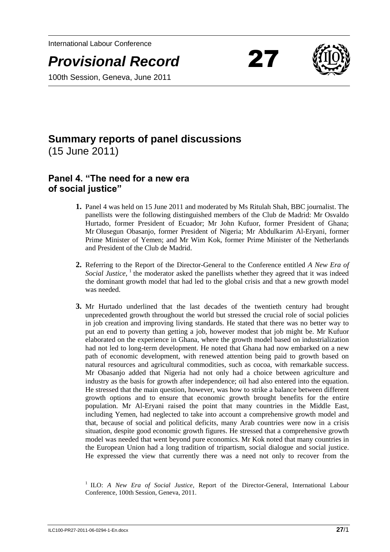International Labour Conference





### 100th Session, Geneva, June 2011

# **Summary reports of panel discussions**

(15 June 2011)

## **Panel 4. "The need for a new era of social justice"**

- **1.** Panel 4 was held on 15 June 2011 and moderated by Ms Ritulah Shah, BBC journalist. The panellists were the following distinguished members of the Club de Madrid: Mr Osvaldo Hurtado, former President of Ecuador; Mr John Kufuor, former President of Ghana; Mr Olusegun Obasanjo, former President of Nigeria; Mr Abdulkarim Al-Eryani, former Prime Minister of Yemen; and Mr Wim Kok, former Prime Minister of the Netherlands and President of the Club de Madrid.
- **2.** Referring to the Report of the Director-General to the Conference entitled *A New Era of*  Social Justice,<sup>1</sup> the moderator asked the panellists whether they agreed that it was indeed the dominant growth model that had led to the global crisis and that a new growth model was needed.
- **3.** Mr Hurtado underlined that the last decades of the twentieth century had brought unprecedented growth throughout the world but stressed the crucial role of social policies in job creation and improving living standards. He stated that there was no better way to put an end to poverty than getting a job, however modest that job might be. Mr Kufuor elaborated on the experience in Ghana, where the growth model based on industrialization had not led to long-term development. He noted that Ghana had now embarked on a new path of economic development, with renewed attention being paid to growth based on natural resources and agricultural commodities, such as cocoa, with remarkable success. Mr Obasanjo added that Nigeria had not only had a choice between agriculture and industry as the basis for growth after independence; oil had also entered into the equation. He stressed that the main question, however, was how to strike a balance between different growth options and to ensure that economic growth brought benefits for the entire population. Mr Al-Eryani raised the point that many countries in the Middle East, including Yemen, had neglected to take into account a comprehensive growth model and that, because of social and political deficits, many Arab countries were now in a crisis situation, despite good economic growth figures. He stressed that a comprehensive growth model was needed that went beyond pure economics. Mr Kok noted that many countries in the European Union had a long tradition of tripartism, social dialogue and social justice. He expressed the view that currently there was a need not only to recover from the

<sup>1</sup> ILO: *A New Era of Social Justice*, Report of the Director-General, International Labour Conference, 100th Session, Geneva, 2011.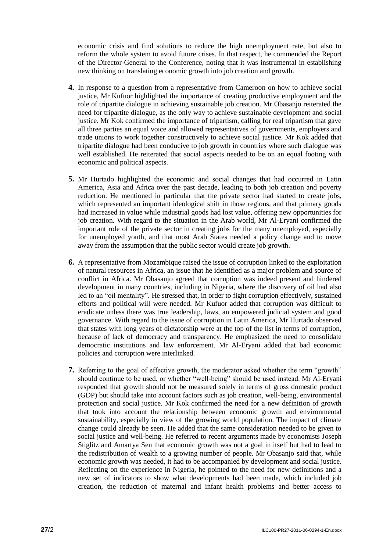economic crisis and find solutions to reduce the high unemployment rate, but also to reform the whole system to avoid future crises. In that respect, he commended the Report of the Director-General to the Conference, noting that it was instrumental in establishing new thinking on translating economic growth into job creation and growth.

- **4.** In response to a question from a representative from Cameroon on how to achieve social justice, Mr Kufuor highlighted the importance of creating productive employment and the role of tripartite dialogue in achieving sustainable job creation. Mr Obasanjo reiterated the need for tripartite dialogue, as the only way to achieve sustainable development and social justice. Mr Kok confirmed the importance of tripartism, calling for real tripartism that gave all three parties an equal voice and allowed representatives of governments, employers and trade unions to work together constructively to achieve social justice. Mr Kok added that tripartite dialogue had been conducive to job growth in countries where such dialogue was well established. He reiterated that social aspects needed to be on an equal footing with economic and political aspects.
- **5.** Mr Hurtado highlighted the economic and social changes that had occurred in Latin America, Asia and Africa over the past decade, leading to both job creation and poverty reduction. He mentioned in particular that the private sector had started to create jobs, which represented an important ideological shift in those regions, and that primary goods had increased in value while industrial goods had lost value, offering new opportunities for job creation. With regard to the situation in the Arab world, Mr Al-Eryani confirmed the important role of the private sector in creating jobs for the many unemployed, especially for unemployed youth, and that most Arab States needed a policy change and to move away from the assumption that the public sector would create job growth.
- **6.** A representative from Mozambique raised the issue of corruption linked to the exploitation of natural resources in Africa, an issue that he identified as a major problem and source of conflict in Africa. Mr Obasanjo agreed that corruption was indeed present and hindered development in many countries, including in Nigeria, where the discovery of oil had also led to an "oil mentality". He stressed that, in order to fight corruption effectively, sustained efforts and political will were needed. Mr Kufuor added that corruption was difficult to eradicate unless there was true leadership, laws, an empowered judicial system and good governance. With regard to the issue of corruption in Latin America, Mr Hurtado observed that states with long years of dictatorship were at the top of the list in terms of corruption, because of lack of democracy and transparency. He emphasized the need to consolidate democratic institutions and law enforcement. Mr Al-Eryani added that bad economic policies and corruption were interlinked.
- **7.** Referring to the goal of effective growth, the moderator asked whether the term "growth" should continue to be used, or whether "well-being" should be used instead. Mr Al-Eryani responded that growth should not be measured solely in terms of gross domestic product (GDP) but should take into account factors such as job creation, well-being, environmental protection and social justice. Mr Kok confirmed the need for a new definition of growth that took into account the relationship between economic growth and environmental sustainability, especially in view of the growing world population. The impact of climate change could already be seen. He added that the same consideration needed to be given to social justice and well-being. He referred to recent arguments made by economists Joseph Stiglitz and Amartya Sen that economic growth was not a goal in itself but had to lead to the redistribution of wealth to a growing number of people. Mr Obasanjo said that, while economic growth was needed, it had to be accompanied by development and social justice. Reflecting on the experience in Nigeria, he pointed to the need for new definitions and a new set of indicators to show what developments had been made, which included job creation, the reduction of maternal and infant health problems and better access to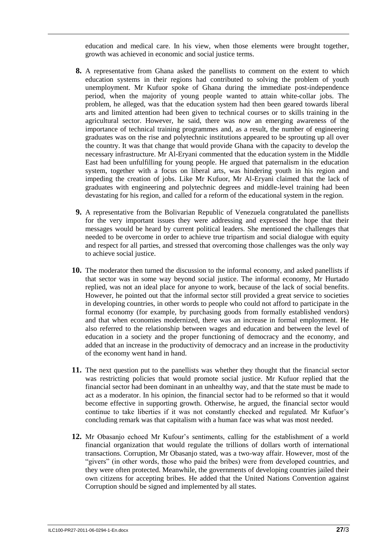education and medical care. In his view, when those elements were brought together, growth was achieved in economic and social justice terms.

- **8.** A representative from Ghana asked the panellists to comment on the extent to which education systems in their regions had contributed to solving the problem of youth unemployment. Mr Kufuor spoke of Ghana during the immediate post-independence period, when the majority of young people wanted to attain white-collar jobs. The problem, he alleged, was that the education system had then been geared towards liberal arts and limited attention had been given to technical courses or to skills training in the agricultural sector. However, he said, there was now an emerging awareness of the importance of technical training programmes and, as a result, the number of engineering graduates was on the rise and polytechnic institutions appeared to be sprouting up all over the country. It was that change that would provide Ghana with the capacity to develop the necessary infrastructure. Mr Al-Eryani commented that the education system in the Middle East had been unfulfilling for young people. He argued that paternalism in the education system, together with a focus on liberal arts, was hindering youth in his region and impeding the creation of jobs. Like Mr Kufuor, Mr Al-Eryani claimed that the lack of graduates with engineering and polytechnic degrees and middle-level training had been devastating for his region, and called for a reform of the educational system in the region.
- **9.** A representative from the Bolivarian Republic of Venezuela congratulated the panellists for the very important issues they were addressing and expressed the hope that their messages would be heard by current political leaders. She mentioned the challenges that needed to be overcome in order to achieve true tripartism and social dialogue with equity and respect for all parties, and stressed that overcoming those challenges was the only way to achieve social justice.
- **10.** The moderator then turned the discussion to the informal economy, and asked panellists if that sector was in some way beyond social justice. The informal economy, Mr Hurtado replied, was not an ideal place for anyone to work, because of the lack of social benefits. However, he pointed out that the informal sector still provided a great service to societies in developing countries, in other words to people who could not afford to participate in the formal economy (for example, by purchasing goods from formally established vendors) and that when economies modernized, there was an increase in formal employment. He also referred to the relationship between wages and education and between the level of education in a society and the proper functioning of democracy and the economy, and added that an increase in the productivity of democracy and an increase in the productivity of the economy went hand in hand.
- **11.** The next question put to the panellists was whether they thought that the financial sector was restricting policies that would promote social justice. Mr Kufuor replied that the financial sector had been dominant in an unhealthy way, and that the state must be made to act as a moderator. In his opinion, the financial sector had to be reformed so that it would become effective in supporting growth. Otherwise, he argued, the financial sector would continue to take liberties if it was not constantly checked and regulated. Mr Kufuor's concluding remark was that capitalism with a human face was what was most needed.
- **12.** Mr Obasanjo echoed Mr Kufour's sentiments, calling for the establishment of a world financial organization that would regulate the trillions of dollars worth of international transactions. Corruption, Mr Obasanjo stated, was a two-way affair. However, most of the "givers" (in other words, those who paid the bribes) were from developed countries, and they were often protected. Meanwhile, the governments of developing countries jailed their own citizens for accepting bribes. He added that the United Nations Convention against Corruption should be signed and implemented by all states.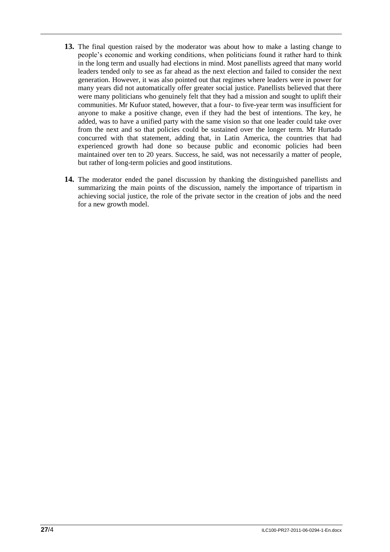- **13.** The final question raised by the moderator was about how to make a lasting change to people's economic and working conditions, when politicians found it rather hard to think in the long term and usually had elections in mind. Most panellists agreed that many world leaders tended only to see as far ahead as the next election and failed to consider the next generation. However, it was also pointed out that regimes where leaders were in power for many years did not automatically offer greater social justice. Panellists believed that there were many politicians who genuinely felt that they had a mission and sought to uplift their communities. Mr Kufuor stated, however, that a four- to five-year term was insufficient for anyone to make a positive change, even if they had the best of intentions. The key, he added, was to have a unified party with the same vision so that one leader could take over from the next and so that policies could be sustained over the longer term. Mr Hurtado concurred with that statement, adding that, in Latin America, the countries that had experienced growth had done so because public and economic policies had been maintained over ten to 20 years. Success, he said, was not necessarily a matter of people, but rather of long-term policies and good institutions.
- **14.** The moderator ended the panel discussion by thanking the distinguished panellists and summarizing the main points of the discussion, namely the importance of tripartism in achieving social justice, the role of the private sector in the creation of jobs and the need for a new growth model.